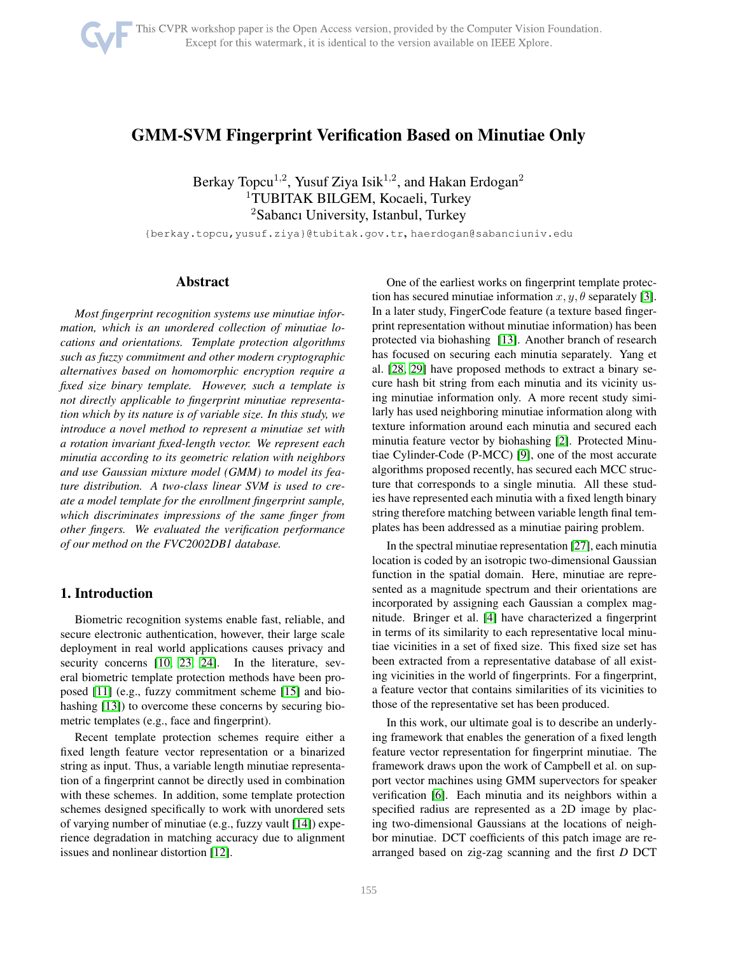# GMM-SVM Fingerprint Verification Based on Minutiae Only

Berkay Topcu<sup>1,2</sup>, Yusuf Ziya Isik<sup>1,2</sup>, and Hakan Erdogan<sup>2</sup> <sup>1</sup>TUBITAK BILGEM, Kocaeli, Turkey <sup>2</sup>Sabancı University, Istanbul, Turkey

{berkay.topcu,yusuf.ziya}@tubitak.gov.tr, haerdogan@sabanciuniv.edu

# Abstract

*Most fingerprint recognition systems use minutiae information, which is an unordered collection of minutiae locations and orientations. Template protection algorithms such as fuzzy commitment and other modern cryptographic alternatives based on homomorphic encryption require a fixed size binary template. However, such a template is not directly applicable to fingerprint minutiae representation which by its nature is of variable size. In this study, we introduce a novel method to represent a minutiae set with a rotation invariant fixed-length vector. We represent each minutia according to its geometric relation with neighbors and use Gaussian mixture model (GMM) to model its feature distribution. A two-class linear SVM is used to create a model template for the enrollment fingerprint sample, which discriminates impressions of the same finger from other fingers. We evaluated the verification performance of our method on the FVC2002DB1 database.*

# 1. Introduction

Biometric recognition systems enable fast, reliable, and secure electronic authentication, however, their large scale deployment in real world applications causes privacy and security concerns [\[10,](#page-5-0) [23,](#page-5-1) [24\]](#page-5-2). In the literature, several biometric template protection methods have been proposed [\[11\]](#page-5-3) (e.g., fuzzy commitment scheme [\[15\]](#page-5-4) and biohashing [\[13\]](#page-5-5)) to overcome these concerns by securing biometric templates (e.g., face and fingerprint).

Recent template protection schemes require either a fixed length feature vector representation or a binarized string as input. Thus, a variable length minutiae representation of a fingerprint cannot be directly used in combination with these schemes. In addition, some template protection schemes designed specifically to work with unordered sets of varying number of minutiae (e.g., fuzzy vault [\[14\]](#page-5-6)) experience degradation in matching accuracy due to alignment issues and nonlinear distortion [\[12\]](#page-5-7).

One of the earliest works on fingerprint template protection has secured minutiae information  $x, y, \theta$  separately [\[3\]](#page-5-8). In a later study, FingerCode feature (a texture based fingerprint representation without minutiae information) has been protected via biohashing [\[13\]](#page-5-5). Another branch of research has focused on securing each minutia separately. Yang et al. [\[28,](#page-5-9) [29\]](#page-5-10) have proposed methods to extract a binary secure hash bit string from each minutia and its vicinity using minutiae information only. A more recent study similarly has used neighboring minutiae information along with texture information around each minutia and secured each minutia feature vector by biohashing [\[2\]](#page-5-11). Protected Minutiae Cylinder-Code (P-MCC) [\[9\]](#page-5-12), one of the most accurate algorithms proposed recently, has secured each MCC structure that corresponds to a single minutia. All these studies have represented each minutia with a fixed length binary string therefore matching between variable length final templates has been addressed as a minutiae pairing problem.

In the spectral minutiae representation [\[27\]](#page-5-13), each minutia location is coded by an isotropic two-dimensional Gaussian function in the spatial domain. Here, minutiae are represented as a magnitude spectrum and their orientations are incorporated by assigning each Gaussian a complex magnitude. Bringer et al. [\[4\]](#page-5-14) have characterized a fingerprint in terms of its similarity to each representative local minutiae vicinities in a set of fixed size. This fixed size set has been extracted from a representative database of all existing vicinities in the world of fingerprints. For a fingerprint, a feature vector that contains similarities of its vicinities to those of the representative set has been produced.

In this work, our ultimate goal is to describe an underlying framework that enables the generation of a fixed length feature vector representation for fingerprint minutiae. The framework draws upon the work of Campbell et al. on support vector machines using GMM supervectors for speaker verification [\[6\]](#page-5-15). Each minutia and its neighbors within a specified radius are represented as a 2D image by placing two-dimensional Gaussians at the locations of neighbor minutiae. DCT coefficients of this patch image are rearranged based on zig-zag scanning and the first *D* DCT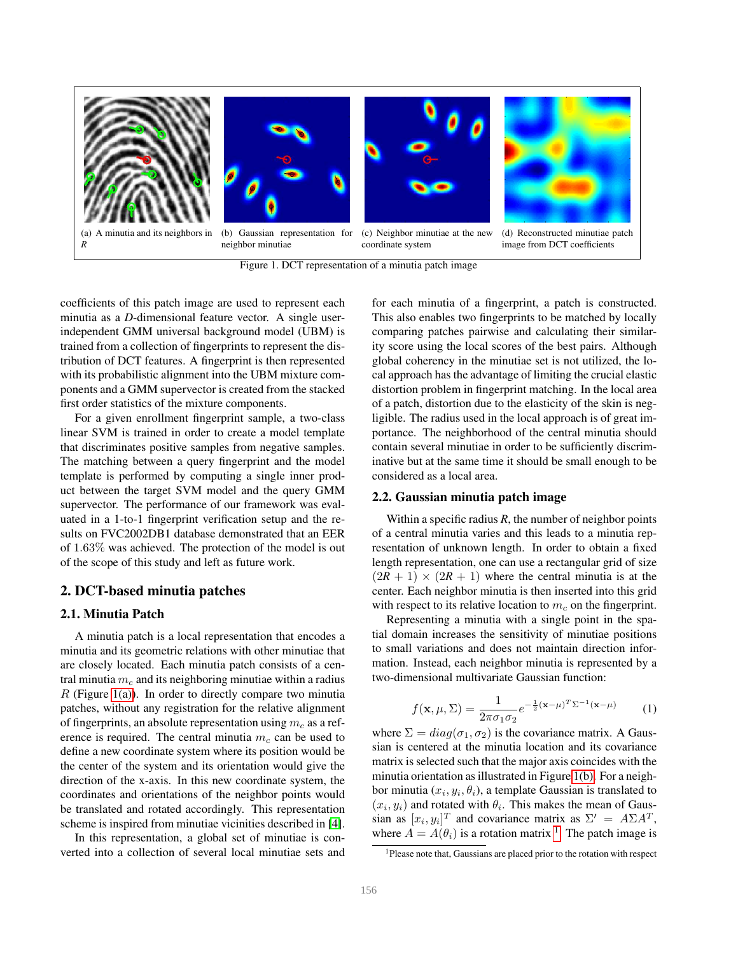

<span id="page-1-1"></span>Figure 1. DCT representation of a minutia patch image

<span id="page-1-0"></span>coefficients of this patch image are used to represent each minutia as a *D*-dimensional feature vector. A single userindependent GMM universal background model (UBM) is trained from a collection of fingerprints to represent the distribution of DCT features. A fingerprint is then represented with its probabilistic alignment into the UBM mixture components and a GMM supervector is created from the stacked first order statistics of the mixture components.

For a given enrollment fingerprint sample, a two-class linear SVM is trained in order to create a model template that discriminates positive samples from negative samples. The matching between a query fingerprint and the model template is performed by computing a single inner product between the target SVM model and the query GMM supervector. The performance of our framework was evaluated in a 1-to-1 fingerprint verification setup and the results on FVC2002DB1 database demonstrated that an EER of 1.63% was achieved. The protection of the model is out of the scope of this study and left as future work.

### 2. DCT-based minutia patches

### 2.1. Minutia Patch

A minutia patch is a local representation that encodes a minutia and its geometric relations with other minutiae that are closely located. Each minutia patch consists of a central minutia  $m<sub>c</sub>$  and its neighboring minutiae within a radius  $R$  (Figure [1\(a\)\)](#page-1-0). In order to directly compare two minutia patches, without any registration for the relative alignment of fingerprints, an absolute representation using  $m_c$  as a reference is required. The central minutia  $m<sub>c</sub>$  can be used to define a new coordinate system where its position would be the center of the system and its orientation would give the direction of the x-axis. In this new coordinate system, the coordinates and orientations of the neighbor points would be translated and rotated accordingly. This representation scheme is inspired from minutiae vicinities described in [\[4\]](#page-5-14).

In this representation, a global set of minutiae is converted into a collection of several local minutiae sets and for each minutia of a fingerprint, a patch is constructed. This also enables two fingerprints to be matched by locally comparing patches pairwise and calculating their similarity score using the local scores of the best pairs. Although global coherency in the minutiae set is not utilized, the local approach has the advantage of limiting the crucial elastic distortion problem in fingerprint matching. In the local area of a patch, distortion due to the elasticity of the skin is negligible. The radius used in the local approach is of great importance. The neighborhood of the central minutia should contain several minutiae in order to be sufficiently discriminative but at the same time it should be small enough to be considered as a local area.

# 2.2. Gaussian minutia patch image

Within a specific radius  $R$ , the number of neighbor points of a central minutia varies and this leads to a minutia representation of unknown length. In order to obtain a fixed length representation, one can use a rectangular grid of size  $(2R + 1) \times (2R + 1)$  where the central minutia is at the center. Each neighbor minutia is then inserted into this grid with respect to its relative location to  $m<sub>c</sub>$  on the fingerprint.

Representing a minutia with a single point in the spatial domain increases the sensitivity of minutiae positions to small variations and does not maintain direction information. Instead, each neighbor minutia is represented by a two-dimensional multivariate Gaussian function:

$$
f(\mathbf{x}, \mu, \Sigma) = \frac{1}{2\pi\sigma_1\sigma_2} e^{-\frac{1}{2}(\mathbf{x} - \mu)^T \Sigma^{-1}(\mathbf{x} - \mu)}
$$
(1)

where  $\Sigma = diag(\sigma_1, \sigma_2)$  is the covariance matrix. A Gaussian is centered at the minutia location and its covariance matrix is selected such that the major axis coincides with the minutia orientation as illustrated in Figure [1\(b\).](#page-1-1) For a neighbor minutia  $(x_i, y_i, \theta_i)$ , a template Gaussian is translated to  $(x_i, y_i)$  and rotated with  $\theta_i$ . This makes the mean of Gaussian as  $[x_i, y_i]^T$  and covariance matrix as  $\Sigma' = A\Sigma A^T$ , where  $A = A(\theta_i)$  is a rotation matrix <sup>[1](#page-1-2)</sup>. The patch image is

<span id="page-1-2"></span><sup>1</sup>Please note that, Gaussians are placed prior to the rotation with respect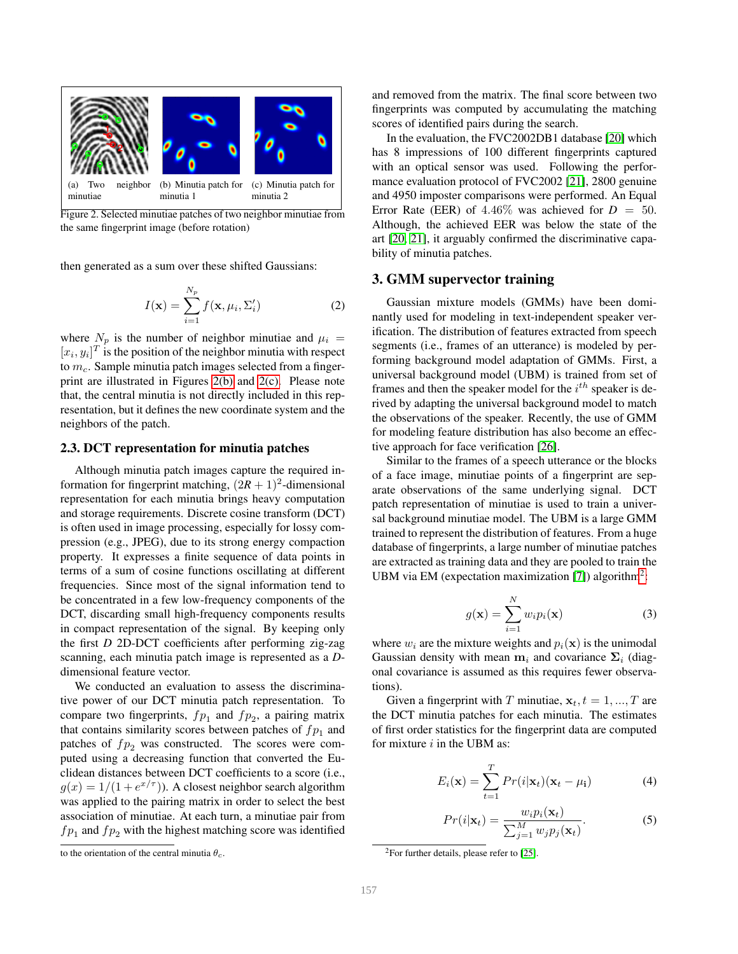

<span id="page-2-0"></span>Figure 2. Selected minutiae patches of two neighbor minutiae from the same fingerprint image (before rotation)

then generated as a sum over these shifted Gaussians:

$$
I(\mathbf{x}) = \sum_{i=1}^{N_p} f(\mathbf{x}, \mu_i, \Sigma_i')
$$
 (2)

where  $N_p$  is the number of neighbor minutiae and  $\mu_i =$  $[x_i, y_i]^T$  is the position of the neighbor minutia with respect to  $m_c$ . Sample minutia patch images selected from a fingerprint are illustrated in Figures [2\(b\)](#page-2-0) and [2\(c\).](#page-2-1) Please note that, the central minutia is not directly included in this representation, but it defines the new coordinate system and the neighbors of the patch.

#### 2.3. DCT representation for minutia patches

Although minutia patch images capture the required information for fingerprint matching,  $(2R + 1)^2$ -dimensional representation for each minutia brings heavy computation and storage requirements. Discrete cosine transform (DCT) is often used in image processing, especially for lossy compression (e.g., JPEG), due to its strong energy compaction property. It expresses a finite sequence of data points in terms of a sum of cosine functions oscillating at different frequencies. Since most of the signal information tend to be concentrated in a few low-frequency components of the DCT, discarding small high-frequency components results in compact representation of the signal. By keeping only the first *D* 2D-DCT coefficients after performing zig-zag scanning, each minutia patch image is represented as a *D*dimensional feature vector.

We conducted an evaluation to assess the discriminative power of our DCT minutia patch representation. To compare two fingerprints,  $fp_1$  and  $fp_2$ , a pairing matrix that contains similarity scores between patches of  $fp<sub>1</sub>$  and patches of  $fp_2$  was constructed. The scores were computed using a decreasing function that converted the Euclidean distances between DCT coefficients to a score (i.e.,  $g(x) = 1/(1 + e^{x/\tau})$ ). A closest neighbor search algorithm was applied to the pairing matrix in order to select the best association of minutiae. At each turn, a minutiae pair from  $fp_1$  and  $fp_2$  with the highest matching score was identified

and removed from the matrix. The final score between two fingerprints was computed by accumulating the matching scores of identified pairs during the search.

<span id="page-2-1"></span>In the evaluation, the FVC2002DB1 database [\[20\]](#page-5-16) which has 8 impressions of 100 different fingerprints captured with an optical sensor was used. Following the performance evaluation protocol of FVC2002 [\[21\]](#page-5-17), 2800 genuine and 4950 imposter comparisons were performed. An Equal Error Rate (EER) of  $4.46\%$  was achieved for  $D = 50$ . Although, the achieved EER was below the state of the art [\[20,](#page-5-16) [21\]](#page-5-17), it arguably confirmed the discriminative capability of minutia patches.

#### 3. GMM supervector training

Gaussian mixture models (GMMs) have been dominantly used for modeling in text-independent speaker verification. The distribution of features extracted from speech segments (i.e., frames of an utterance) is modeled by performing background model adaptation of GMMs. First, a universal background model (UBM) is trained from set of frames and then the speaker model for the  $i^{th}$  speaker is derived by adapting the universal background model to match the observations of the speaker. Recently, the use of GMM for modeling feature distribution has also become an effective approach for face verification [\[26\]](#page-5-18).

Similar to the frames of a speech utterance or the blocks of a face image, minutiae points of a fingerprint are separate observations of the same underlying signal. DCT patch representation of minutiae is used to train a universal background minutiae model. The UBM is a large GMM trained to represent the distribution of features. From a huge database of fingerprints, a large number of minutiae patches are extracted as training data and they are pooled to train the UBM via EM (expectation maximization [\[7\]](#page-5-19)) algorithm<sup>[2](#page-2-2)</sup>:

$$
g(\mathbf{x}) = \sum_{i=1}^{N} w_i p_i(\mathbf{x})
$$
 (3)

where  $w_i$  are the mixture weights and  $p_i(\mathbf{x})$  is the unimodal Gaussian density with mean  $m_i$  and covariance  $\Sigma_i$  (diagonal covariance is assumed as this requires fewer observations).

Given a fingerprint with T minutiae,  $x_t$ ,  $t = 1, ..., T$  are the DCT minutia patches for each minutia. The estimates of first order statistics for the fingerprint data are computed for mixture  $i$  in the UBM as:

$$
E_i(\mathbf{x}) = \sum_{t=1}^{T} Pr(i|\mathbf{x}_t)(\mathbf{x}_t - \mu_i)
$$
 (4)

$$
Pr(i|\mathbf{x}_t) = \frac{w_i p_i(\mathbf{x}_t)}{\sum_{j=1}^{M} w_j p_j(\mathbf{x}_t)}.
$$
 (5)

to the orientation of the central minutia  $\theta_c$ .

<span id="page-2-2"></span> $2$ For further details, please refer to [\[25\]](#page-5-20).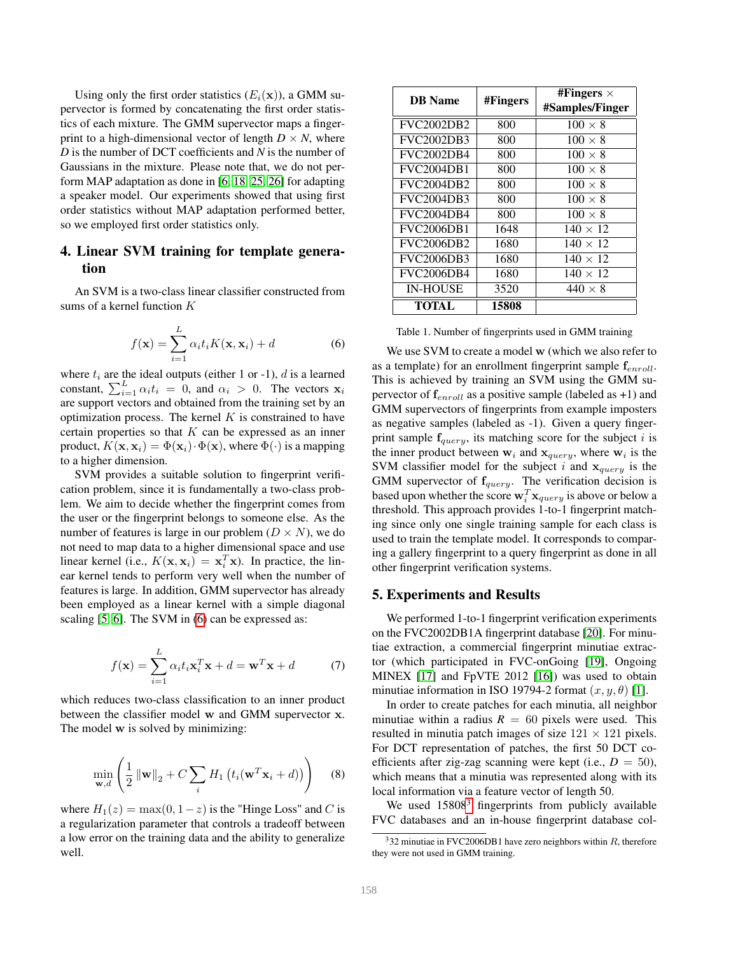Using only the first order statistics  $(E_i(\mathbf{x}))$ , a GMM supervector is formed by concatenating the first order statistics of each mixture. The GMM supervector maps a fingerprint to a high-dimensional vector of length  $D \times N$ , where *D* is the number of DCT coefficients and *N* is the number of Gaussians in the mixture. Please note that, we do not perform MAP adaptation as done in [\[6,](#page-5-15) [18,](#page-5-21) [25,](#page-5-20) [26\]](#page-5-18) for adapting a speaker model. Our experiments showed that using first order statistics without MAP adaptation performed better, so we employed first order statistics only.

# 4. Linear SVM training for template generation

An SVM is a two-class linear classifier constructed from sums of a kernel function K

<span id="page-3-0"></span>
$$
f(\mathbf{x}) = \sum_{i=1}^{L} \alpha_i t_i K(\mathbf{x}, \mathbf{x}_i) + d
$$
 (6)

where  $t_i$  are the ideal outputs (either 1 or -1), d is a learned constant,  $\sum_{i=1}^{L} \alpha_i t_i = 0$ , and  $\alpha_i > 0$ . The vectors  $\mathbf{x}_i$ are support vectors and obtained from the training set by an optimization process. The kernel  $K$  is constrained to have certain properties so that  $K$  can be expressed as an inner product,  $K(\mathbf{x}, \mathbf{x}_i) = \Phi(\mathbf{x}_i) \cdot \Phi(\mathbf{x})$ , where  $\Phi(\cdot)$  is a mapping to a higher dimension.

SVM provides a suitable solution to fingerprint verification problem, since it is fundamentally a two-class problem. We aim to decide whether the fingerprint comes from the user or the fingerprint belongs to someone else. As the number of features is large in our problem  $(D \times N)$ , we do not need to map data to a higher dimensional space and use linear kernel (i.e.,  $K(\mathbf{x}, \mathbf{x}_i) = \mathbf{x}_i^T \mathbf{x}$ ). In practice, the linear kernel tends to perform very well when the number of features is large. In addition, GMM supervector has already been employed as a linear kernel with a simple diagonal scaling [\[5,](#page-5-22) [6\]](#page-5-15). The SVM in [\(6\)](#page-3-0) can be expressed as:

$$
f(\mathbf{x}) = \sum_{i=1}^{L} \alpha_i t_i \mathbf{x}_i^T \mathbf{x} + d = \mathbf{w}^T \mathbf{x} + d \tag{7}
$$

which reduces two-class classification to an inner product between the classifier model w and GMM supervector x. The model w is solved by minimizing:

$$
\min_{\mathbf{w},d} \left( \frac{1}{2} \left\| \mathbf{w} \right\|_2 + C \sum_i H_1 \left( t_i(\mathbf{w}^T \mathbf{x}_i + d) \right) \right) \tag{8}
$$

where  $H_1(z) = \max(0, 1-z)$  is the "Hinge Loss" and C is a regularization parameter that controls a tradeoff between a low error on the training data and the ability to generalize well.

| <b>DB</b> Name    | #Fingers | #Fingers $\times$<br>#Samples/Finger |
|-------------------|----------|--------------------------------------|
| <b>FVC2002DB2</b> | 800      | $100 \times 8$                       |
| <b>FVC2002DB3</b> | 800      | $100 \times 8$                       |
| <b>FVC2002DB4</b> | 800      | $100 \times 8$                       |
| <b>FVC2004DB1</b> | 800      | $100 \times 8$                       |
| <b>FVC2004DB2</b> | 800      | $100 \times 8$                       |
| <b>FVC2004DB3</b> | 800      | $100 \times 8$                       |
| <b>FVC2004DB4</b> | 800      | $100 \times 8$                       |
| <b>FVC2006DB1</b> | 1648     | $140 \times 12$                      |
| <b>FVC2006DB2</b> | 1680     | $140 \times 12$                      |
| <b>FVC2006DB3</b> | 1680     | $140 \times 12$                      |
| <b>FVC2006DB4</b> | 1680     | $140 \times 12$                      |
| <b>IN-HOUSE</b>   | 3520     | $440 \times 8$                       |
| <b>TOTAL</b>      | 15808    |                                      |

<span id="page-3-2"></span>Table 1. Number of fingerprints used in GMM training

We use SVM to create a model w (which we also refer to as a template) for an enrollment fingerprint sample  $f_{enroll}$ . This is achieved by training an SVM using the GMM supervector of  $f_{enroll}$  as a positive sample (labeled as +1) and GMM supervectors of fingerprints from example imposters as negative samples (labeled as -1). Given a query fingerprint sample  $f_{query}$ , its matching score for the subject i is the inner product between  $w_i$  and  $x_{query}$ , where  $w_i$  is the SVM classifier model for the subject i and  $x_{query}$  is the GMM supervector of  $f_{query}$ . The verification decision is based upon whether the score  $\mathbf{w}_i^T \mathbf{x}_{query}$  is above or below a threshold. This approach provides 1-to-1 fingerprint matching since only one single training sample for each class is used to train the template model. It corresponds to comparing a gallery fingerprint to a query fingerprint as done in all other fingerprint verification systems.

### 5. Experiments and Results

We performed 1-to-1 fingerprint verification experiments on the FVC2002DB1A fingerprint database [\[20\]](#page-5-16). For minutiae extraction, a commercial fingerprint minutiae extractor (which participated in FVC-onGoing [\[19\]](#page-5-23), Ongoing MINEX [\[17\]](#page-5-24) and FpVTE 2012 [\[16\]](#page-5-25)) was used to obtain minutiae information in ISO 19794-2 format  $(x, y, \theta)$  [\[1\]](#page-5-26).

In order to create patches for each minutia, all neighbor minutiae within a radius  $R = 60$  pixels were used. This resulted in minutia patch images of size  $121 \times 121$  pixels. For DCT representation of patches, the first 50 DCT coefficients after zig-zag scanning were kept (i.e.,  $D = 50$ ), which means that a minutia was represented along with its local information via a feature vector of length 50.

We used  $15808<sup>3</sup>$  $15808<sup>3</sup>$  $15808<sup>3</sup>$  fingerprints from publicly available FVC databases and an in-house fingerprint database col-

<span id="page-3-1"></span> $332$  minutiae in FVC2006DB1 have zero neighbors within R, therefore they were not used in GMM training.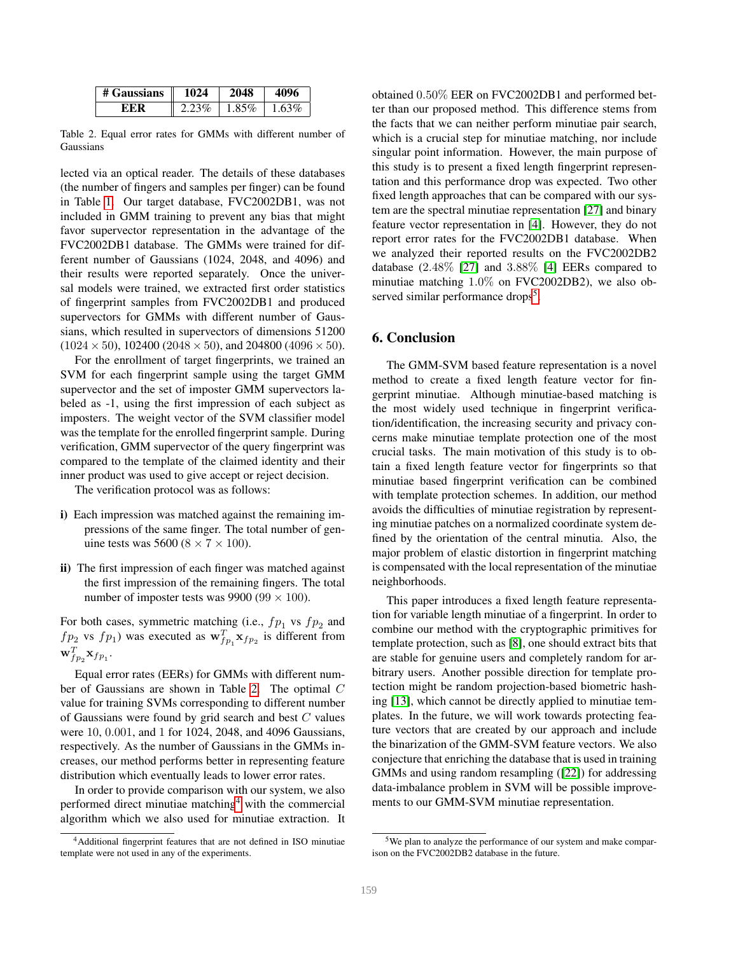<span id="page-4-0"></span>

| # Gaussians | 1024     | 2048  | 4096  |
|-------------|----------|-------|-------|
| EER         | $2.23\%$ | 1.85% | 1.63% |

Table 2. Equal error rates for GMMs with different number of Gaussians

lected via an optical reader. The details of these databases (the number of fingers and samples per finger) can be found in Table [1.](#page-3-2) Our target database, FVC2002DB1, was not included in GMM training to prevent any bias that might favor supervector representation in the advantage of the FVC2002DB1 database. The GMMs were trained for different number of Gaussians (1024, 2048, and 4096) and their results were reported separately. Once the universal models were trained, we extracted first order statistics of fingerprint samples from FVC2002DB1 and produced supervectors for GMMs with different number of Gaussians, which resulted in supervectors of dimensions 51200  $(1024 \times 50)$ , 102400 (2048  $\times 50$ ), and 204800 (4096  $\times 50$ ).

For the enrollment of target fingerprints, we trained an SVM for each fingerprint sample using the target GMM supervector and the set of imposter GMM supervectors labeled as -1, using the first impression of each subject as imposters. The weight vector of the SVM classifier model was the template for the enrolled fingerprint sample. During verification, GMM supervector of the query fingerprint was compared to the template of the claimed identity and their inner product was used to give accept or reject decision.

The verification protocol was as follows:

- i) Each impression was matched against the remaining impressions of the same finger. The total number of genuine tests was 5600 ( $8 \times 7 \times 100$ ).
- ii) The first impression of each finger was matched against the first impression of the remaining fingers. The total number of imposter tests was 9900 (99  $\times$  100).

For both cases, symmetric matching (i.e.,  $fp_1$  vs  $fp_2$  and  $fp_2$  vs  $fp_1$ ) was executed as  $\mathbf{w}_{fp_1}^T \mathbf{x}_{fp_2}$  is different from  $\mathbf{w}_{fp_2}^T \mathbf{x}_{fp_1}.$ 

Equal error rates (EERs) for GMMs with different number of Gaussians are shown in Table [2.](#page-4-0) The optimal C value for training SVMs corresponding to different number of Gaussians were found by grid search and best C values were 10, 0.001, and 1 for 1024, 2048, and 4096 Gaussians, respectively. As the number of Gaussians in the GMMs increases, our method performs better in representing feature distribution which eventually leads to lower error rates.

In order to provide comparison with our system, we also performed direct minutiae matching<sup>[4](#page-4-1)</sup> with the commercial algorithm which we also used for minutiae extraction. It

obtained 0.50% EER on FVC2002DB1 and performed better than our proposed method. This difference stems from the facts that we can neither perform minutiae pair search, which is a crucial step for minutiae matching, nor include singular point information. However, the main purpose of this study is to present a fixed length fingerprint representation and this performance drop was expected. Two other fixed length approaches that can be compared with our system are the spectral minutiae representation [\[27\]](#page-5-13) and binary feature vector representation in [\[4\]](#page-5-14). However, they do not report error rates for the FVC2002DB1 database. When we analyzed their reported results on the FVC2002DB2 database (2.48% [\[27\]](#page-5-13) and 3.88% [\[4\]](#page-5-14) EERs compared to minutiae matching 1.0% on FVC2002DB2), we also ob-served similar performance drops<sup>[5](#page-4-2)</sup>.

# 6. Conclusion

The GMM-SVM based feature representation is a novel method to create a fixed length feature vector for fingerprint minutiae. Although minutiae-based matching is the most widely used technique in fingerprint verification/identification, the increasing security and privacy concerns make minutiae template protection one of the most crucial tasks. The main motivation of this study is to obtain a fixed length feature vector for fingerprints so that minutiae based fingerprint verification can be combined with template protection schemes. In addition, our method avoids the difficulties of minutiae registration by representing minutiae patches on a normalized coordinate system defined by the orientation of the central minutia. Also, the major problem of elastic distortion in fingerprint matching is compensated with the local representation of the minutiae neighborhoods.

This paper introduces a fixed length feature representation for variable length minutiae of a fingerprint. In order to combine our method with the cryptographic primitives for template protection, such as [\[8\]](#page-5-27), one should extract bits that are stable for genuine users and completely random for arbitrary users. Another possible direction for template protection might be random projection-based biometric hashing [\[13\]](#page-5-5), which cannot be directly applied to minutiae templates. In the future, we will work towards protecting feature vectors that are created by our approach and include the binarization of the GMM-SVM feature vectors. We also conjecture that enriching the database that is used in training GMMs and using random resampling ([\[22\]](#page-5-28)) for addressing data-imbalance problem in SVM will be possible improvements to our GMM-SVM minutiae representation.

<span id="page-4-1"></span><sup>4</sup>Additional fingerprint features that are not defined in ISO minutiae template were not used in any of the experiments.

<span id="page-4-2"></span><sup>5</sup>We plan to analyze the performance of our system and make comparison on the FVC2002DB2 database in the future.